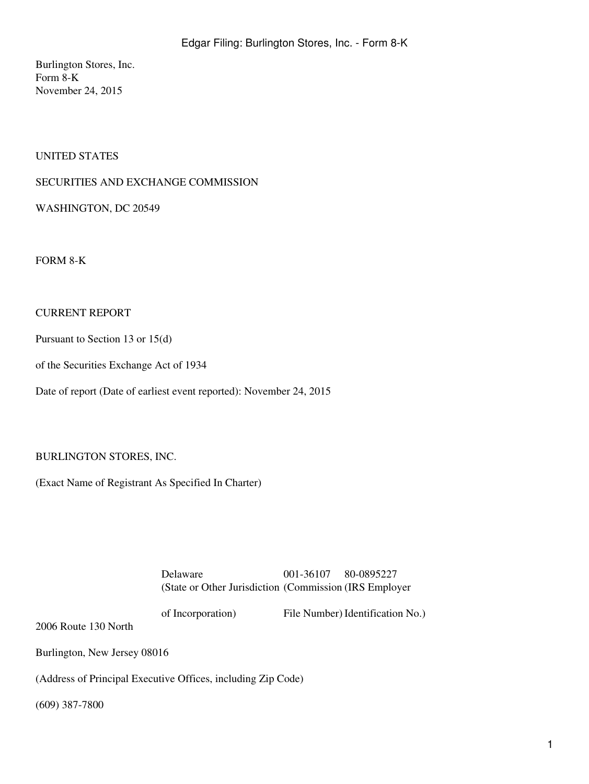Burlington Stores, Inc. Form 8-K November 24, 2015

## UNITED STATES

## SECURITIES AND EXCHANGE COMMISSION

WASHINGTON, DC 20549

FORM 8-K

### CURRENT REPORT

Pursuant to Section 13 or 15(d)

of the Securities Exchange Act of 1934

Date of report (Date of earliest event reported): November 24, 2015

### BURLINGTON STORES, INC.

(Exact Name of Registrant As Specified In Charter)

Delaware 001-36107 80-0895227 (State or Other Jurisdiction (Commission (IRS Employer

of Incorporation)

File Number) Identification No.)

2006 Route 130 North

Burlington, New Jersey 08016

(Address of Principal Executive Offices, including Zip Code)

(609) 387-7800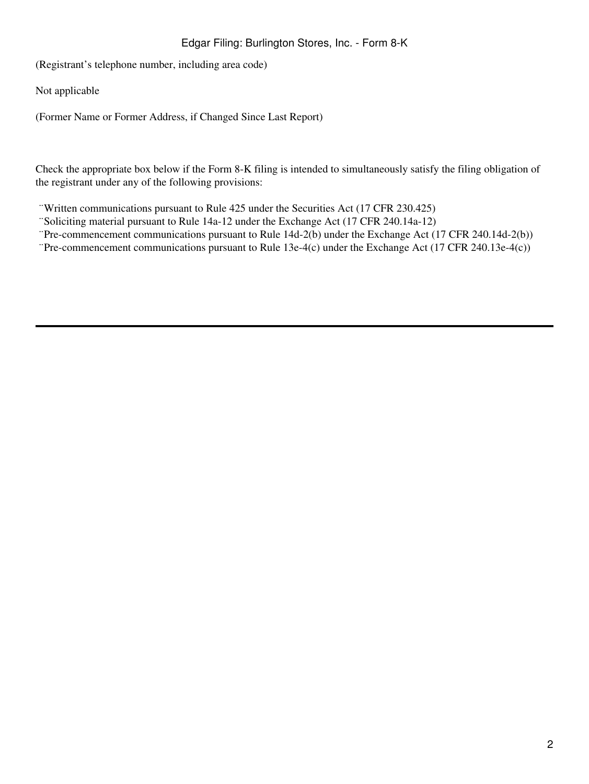# Edgar Filing: Burlington Stores, Inc. - Form 8-K

(Registrant's telephone number, including area code)

Not applicable

(Former Name or Former Address, if Changed Since Last Report)

Check the appropriate box below if the Form 8-K filing is intended to simultaneously satisfy the filing obligation of the registrant under any of the following provisions:

¨Written communications pursuant to Rule 425 under the Securities Act (17 CFR 230.425)

- ¨Soliciting material pursuant to Rule 14a-12 under the Exchange Act (17 CFR 240.14a-12)
- ¨Pre-commencement communications pursuant to Rule 14d-2(b) under the Exchange Act (17 CFR 240.14d-2(b))
- ¨Pre-commencement communications pursuant to Rule 13e-4(c) under the Exchange Act (17 CFR 240.13e-4(c))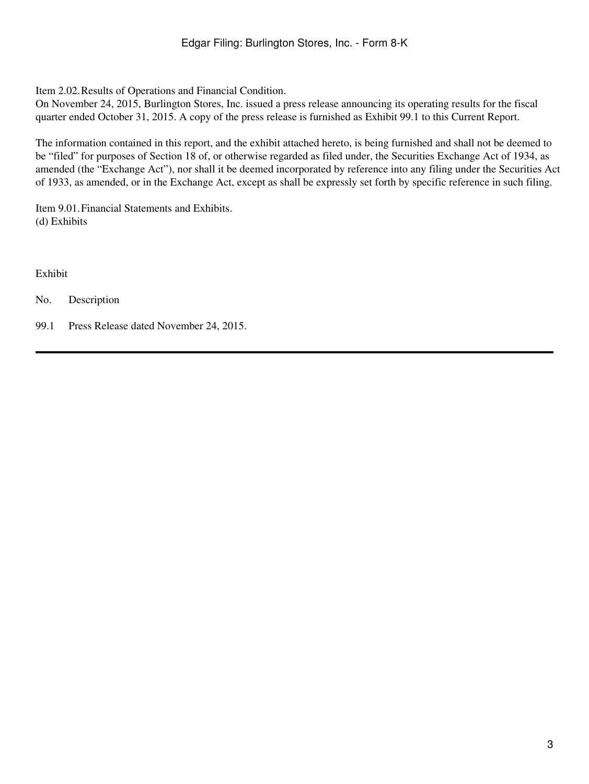Item 2.02.Results of Operations and Financial Condition.

On November 24, 2015, Burlington Stores, Inc. issued a press release announcing its operating results for the fiscal quarter ended October 31, 2015. A copy of the press release is furnished as Exhibit 99.1 to this Current Report.

The information contained in this report, and the exhibit attached hereto, is being furnished and shall not be deemed to be "filed" for purposes of Section 18 of, or otherwise regarded as filed under, the Securities Exchange Act of 1934, as amended (the "Exchange Act"), nor shall it be deemed incorporated by reference into any filing under the Securities Act of 1933, as amended, or in the Exchange Act, except as shall be expressly set forth by specific reference in such filing.

Item 9.01.Financial Statements and Exhibits. (d) Exhibits

Exhibit

No. Description

99.1 Press Release dated November 24, 2015.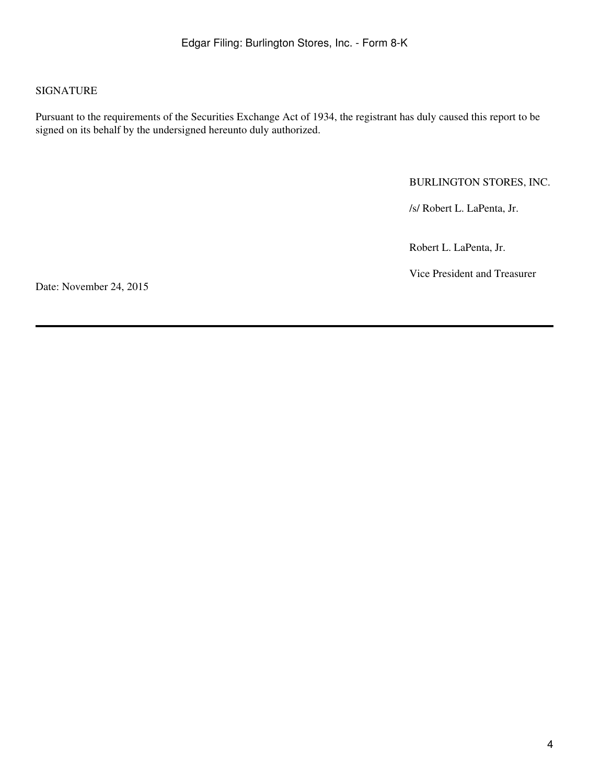## SIGNATURE

Pursuant to the requirements of the Securities Exchange Act of 1934, the registrant has duly caused this report to be signed on its behalf by the undersigned hereunto duly authorized.

## BURLINGTON STORES, INC.

/s/ Robert L. LaPenta, Jr.

Robert L. LaPenta, Jr.

Vice President and Treasurer

Date: November 24, 2015